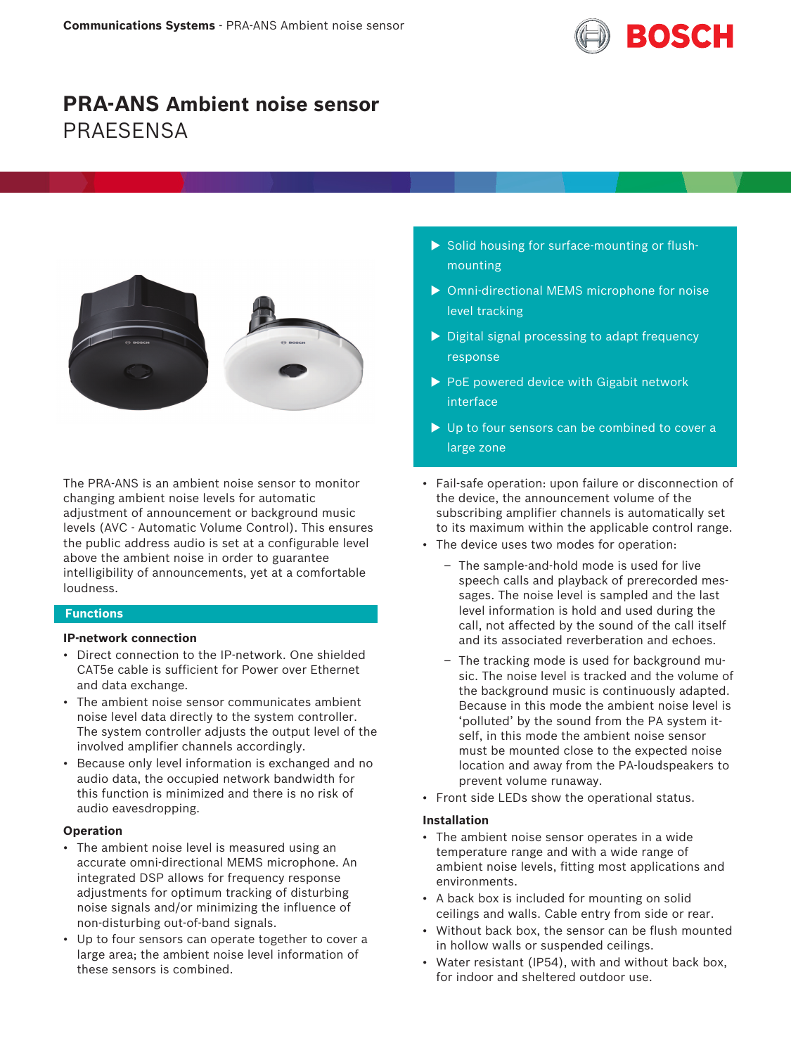

# **PRA-ANS Ambient noise sensor PRAFSENSA**



The PRA-ANS is an ambient noise sensor to monitor changing ambient noise levels for automatic adjustment of announcement or background music levels (AVC - Automatic Volume Control). This ensures the public address audio is set at a configurable level above the ambient noise in order to guarantee intelligibility of announcements, yet at a comfortable loudness.

# **Functions**

# **IP‑network connection**

- Direct connection to the IP-network. One shielded CAT5e cable is sufficient for Power over Ethernet and data exchange.
- The ambient noise sensor communicates ambient noise level data directly to the system controller. The system controller adjusts the output level of the involved amplifier channels accordingly.
- Because only level information is exchanged and no audio data, the occupied network bandwidth for this function is minimized and there is no risk of audio eavesdropping.

# **Operation**

- The ambient noise level is measured using an accurate omni-directional MEMS microphone. An integrated DSP allows for frequency response adjustments for optimum tracking of disturbing noise signals and/or minimizing the influence of non-disturbing out-of-band signals.
- Up to four sensors can operate together to cover a large area; the ambient noise level information of these sensors is combined.
- $\triangleright$  Solid housing for surface-mounting or flushmounting
- $\triangleright$  Omni-directional MEMS microphone for noise level tracking
- $\triangleright$  Digital signal processing to adapt frequency response
- $\triangleright$  PoE powered device with Gigabit network interface
- $\blacktriangleright$  Up to four sensors can be combined to cover a large zone
- Fail-safe operation: upon failure or disconnection of the device, the announcement volume of the subscribing amplifier channels is automatically set to its maximum within the applicable control range.
- The device uses two modes for operation:
	- The sample-and-hold mode is used for live speech calls and playback of prerecorded messages. The noise level is sampled and the last level information is hold and used during the call, not affected by the sound of the call itself and its associated reverberation and echoes.
	- The tracking mode is used for background music. The noise level is tracked and the volume of the background music is continuously adapted. Because in this mode the ambient noise level is 'polluted' by the sound from the PA system itself, in this mode the ambient noise sensor must be mounted close to the expected noise location and away from the PA-loudspeakers to prevent volume runaway.
- Front side LEDs show the operational status.

# **Installation**

- The ambient noise sensor operates in a wide temperature range and with a wide range of ambient noise levels, fitting most applications and environments.
- A back box is included for mounting on solid ceilings and walls. Cable entry from side or rear.
- Without back box, the sensor can be flush mounted in hollow walls or suspended ceilings.
- Water resistant (IP54), with and without back box, for indoor and sheltered outdoor use.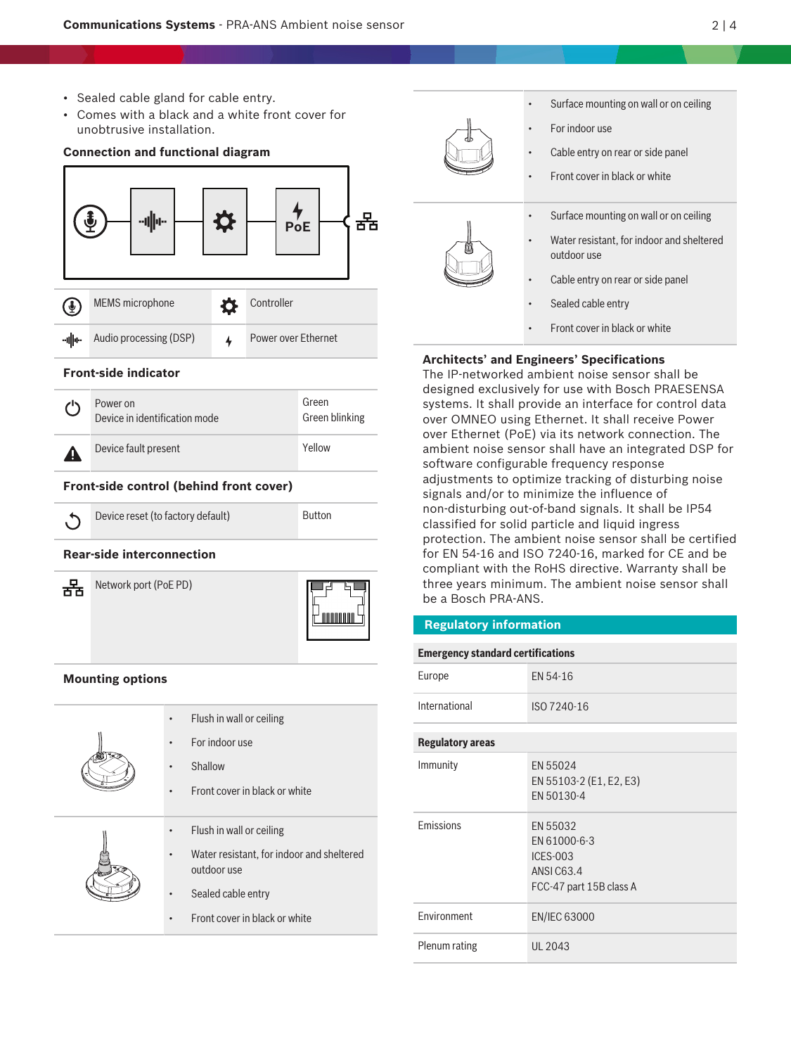- Sealed cable gland for cable entry.
- Comes with a black and a white front cover for unobtrusive installation.

**Connection and functional diagram**



# • Front cover in black or white • Flush in wall or ceiling • Water resistant, for indoor and sheltered outdoor use Sealed cable entry

• Front cover in black or white

|  | Surface mounting on wall or on ceiling  |
|--|-----------------------------------------|
|  | For indoor use                          |
|  | Cable entry on rear or side panel       |
|  | Front cover in black or white           |
|  | Surface mounting on wall or on ceiling  |
|  | Water resistant, for indoor and shelter |

- nounting on wall or on ceiling
- sistant, for indoor and sheltered outdoor use
- Cable entry on rear or side panel
- Sealed cable entry
- Front cover in black or white

# **Architects' and Engineers' Specifications**

The IP‑networked ambient noise sensor shall be designed exclusively for use with Bosch PRAESENSA systems. It shall provide an interface for control data over OMNEO using Ethernet. It shall receive Power over Ethernet (PoE) via its network connection. The ambient noise sensor shall have an integrated DSP for software configurable frequency response adjustments to optimize tracking of disturbing noise signals and/or to minimize the influence of non‑disturbing out‑of‑band signals. It shall be IP54 classified for solid particle and liquid ingress protection. The ambient noise sensor shall be certified for EN 54-16 and ISO 7240-16, marked for CE and be compliant with the RoHS directive. Warranty shall be three years minimum. The ambient noise sensor shall be a Bosch PRA-ANS.

# **Regulatory information**

| <b>Emergency standard certifications</b> |                                                                                             |  |
|------------------------------------------|---------------------------------------------------------------------------------------------|--|
| Europe                                   | EN 54-16                                                                                    |  |
| International                            | ISO 7240-16                                                                                 |  |
| <b>Regulatory areas</b>                  |                                                                                             |  |
| Immunity                                 | EN 55024<br>EN 55103-2 (E1, E2, E3)<br>FN 50130-4                                           |  |
| Emissions                                | EN 55032<br>EN 61000-6-3<br><b>ICES-003</b><br><b>ANSI C63.4</b><br>FCC-47 part 15B class A |  |
| Environment                              | EN/IEC 63000                                                                                |  |
| Plenum rating                            | <b>UL 2043</b>                                                                              |  |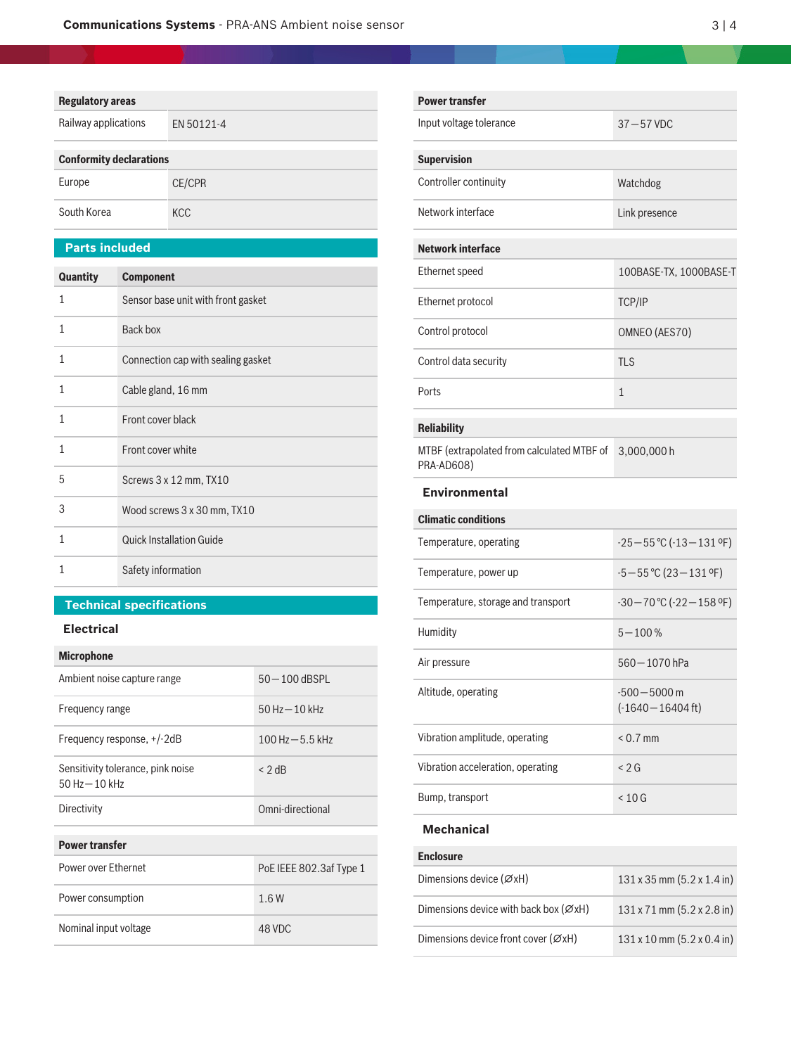# **Regulatory areas**

| Railway applications           | FN 50121-4 |  |
|--------------------------------|------------|--|
| <b>Conformity declarations</b> |            |  |
| Europe                         | CF/CPR     |  |

| Europe      | CE/CPR     |
|-------------|------------|
| South Korea | <b>KCC</b> |

# **Parts included**

| Quantity | <b>Component</b>                   |
|----------|------------------------------------|
| 1        | Sensor base unit with front gasket |
| 1        | Back box                           |
| 1        | Connection cap with sealing gasket |
| 1        | Cable gland, 16 mm                 |
| 1        | Front cover black                  |
| 1        | Front cover white                  |
| 5        | Screws 3 x 12 mm, TX10             |
| 3        | Wood screws 3 x 30 mm, TX10        |
| 1        | <b>Quick Installation Guide</b>    |
| 1        | Safety information                 |

# **Technical specifications**

# **Electrical**

| <b>Microphone</b>                                     |                         |
|-------------------------------------------------------|-------------------------|
| Ambient noise capture range                           | $50 - 100$ dBSPL        |
| Frequency range                                       | $50$ Hz $-10$ kHz       |
| Frequency response, +/-2dB                            | $100$ Hz $-5.5$ kHz     |
| Sensitivity tolerance, pink noise<br>$50 Hz - 10 kHz$ | $<$ 2 dB                |
| Directivity                                           | Omni-directional        |
| <b>Power transfer</b>                                 |                         |
| Power over Ethernet                                   | PoE IEEE 802.3af Type 1 |
| Power consumption                                     | 1.6W                    |
| Nominal input voltage                                 | 48 VDC                  |

| <b>Power transfer</b>                                    |                                           |  |
|----------------------------------------------------------|-------------------------------------------|--|
| Input voltage tolerance                                  | $37 - 57$ VDC                             |  |
| <b>Supervision</b>                                       |                                           |  |
| Controller continuity                                    | Watchdog                                  |  |
| Network interface                                        | Link presence                             |  |
| <b>Network interface</b>                                 |                                           |  |
| Ethernet speed                                           | 100BASE-TX, 1000BASE-T                    |  |
| Ethernet protocol                                        | <b>TCP/IP</b>                             |  |
| Control protocol                                         | OMNEO (AES70)                             |  |
| Control data security                                    | <b>TLS</b>                                |  |
| Ports                                                    | 1                                         |  |
| <b>Reliability</b>                                       |                                           |  |
| MTBF (extrapolated from calculated MTBF of<br>PRA-AD608) | 3,000,000 h                               |  |
| <b>Environmental</b>                                     |                                           |  |
| <b>Climatic conditions</b>                               |                                           |  |
| Temperature, operating                                   | $-25-55$ °C ( $-13-131$ °F)               |  |
| Temperature, power up                                    | $-5 - 55$ °C (23 - 131 °F)                |  |
| Temperature, storage and transport                       | $-30-70$ °C ( $-22-158$ °F)               |  |
| Humidity                                                 | $5 - 100%$                                |  |
| Air pressure                                             | 560 - 1070 hPa                            |  |
| Altitude, operating                                      | $-500 - 5000$ m<br>$(-1640 - 16404$ ft)   |  |
| Vibration amplitude, operating                           | $< 0.7$ mm                                |  |
| Vibration acceleration, operating                        | < 2 G                                     |  |
| Bump, transport                                          | $< 10$ G                                  |  |
| <b>Mechanical</b>                                        |                                           |  |
| <b>Enclosure</b>                                         |                                           |  |
| Dimensions device $(\emptyset xH)$                       | $131 \times 35$ mm $(5.2 \times 1.4)$ in) |  |
| Dimensions device with back box ( $\varnothing xH$ )     | 131 x 71 mm (5.2 x 2.8 in)                |  |
| Dimensions device front cover (ØxH)                      | 131 x 10 mm (5.2 x 0.4 in)                |  |
|                                                          |                                           |  |